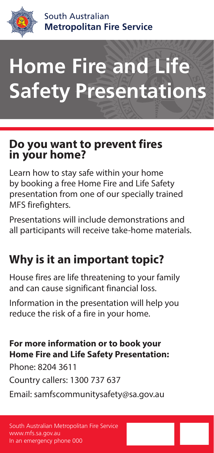

South Australian **Metropolitan Fire Service**

# **Home Fire and Life Safety Presentations**

# **Do you want to prevent fires in your home?**

Learn how to stay safe within your home by booking a free Home Fire and Life Safety presentation from one of our specially trained MFS firefighters.

Presentations will include demonstrations and all participants will receive take-home materials.

# **Why is it an important topic?**

House fires are life threatening to your family and can cause significant financial loss.

Information in the presentation will help you reduce the risk of a fire in your home.

#### **For more information or to book your Home Fire and Life Safety Presentation:**

Phone: 8204 3611

Country callers: 1300 737 637

Email: samfscommunitysafety@sa.gov.au